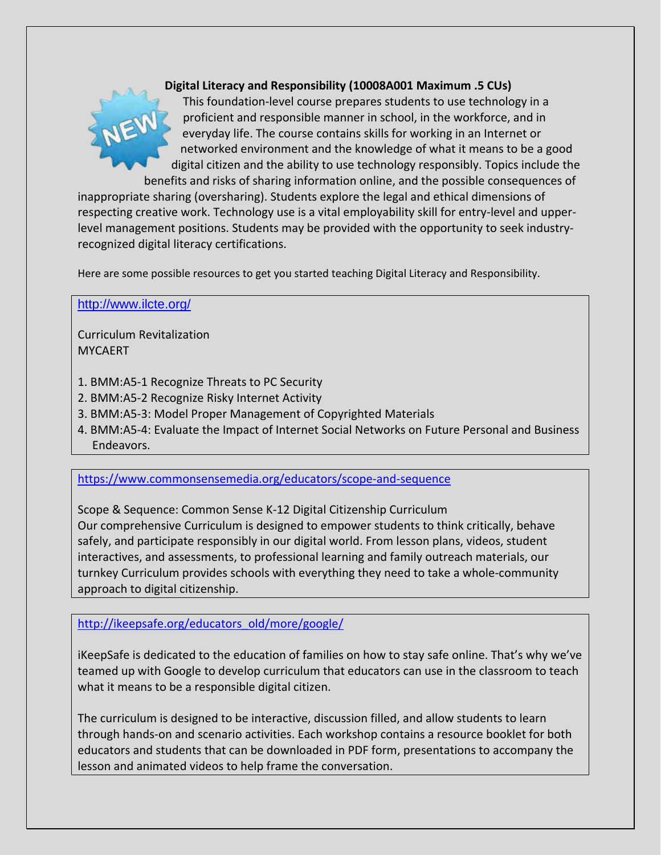

# **Digital Literacy and Responsibility (10008A001 Maximum .5 CUs)**

This foundation-level course prepares students to use technology in a proficient and responsible manner in school, in the workforce, and in everyday life. The course contains skills for working in an Internet or networked environment and the knowledge of what it means to be a good digital citizen and the ability to use technology responsibly. Topics include the benefits and risks of sharing information online, and the possible consequences of

inappropriate sharing (oversharing). Students explore the legal and ethical dimensions of respecting creative work. Technology use is a vital employability skill for entry-level and upperlevel management positions. Students may be provided with the opportunity to seek industryrecognized digital literacy certifications.

Here are some possible resources to get you started teaching Digital Literacy and Responsibility.

#### <http://www.ilcte.org/>

Curriculum Revitalization **MYCAERT** 

- 1. BMM:A5-1 Recognize Threats to PC Security
- 2. BMM:A5-2 Recognize Risky Internet Activity
- 3. BMM:A5-3: Model Proper Management of Copyrighted Materials
- 4. BMM:A5-4: Evaluate the Impact of Internet Social Networks on Future Personal and Business Endeavors.

<https://www.commonsensemedia.org/educators/scope-and-sequence>

Scope & Sequence: Common Sense K-12 Digital Citizenship Curriculum Our comprehensive Curriculum is designed to empower students to think critically, behave safely, and participate responsibly in our digital world. From lesson plans, videos, student interactives, and assessments, to professional learning and family outreach materials, our turnkey Curriculum provides schools with everything they need to take a whole-community approach to digital citizenship.

[http://ikeepsafe.org/educators\\_old/more/google/](http://ikeepsafe.org/educators_old/more/google/)

iKeepSafe is dedicated to the education of families on how to stay safe online. That's why we've teamed up with Google to develop curriculum that educators can use in the classroom to teach what it means to be a responsible digital citizen.

The curriculum is designed to be interactive, discussion filled, and allow students to learn through hands-on and scenario activities. Each workshop contains a resource booklet for both educators and students that can be downloaded in PDF form, presentations to accompany the lesson and animated videos to help frame the conversation.